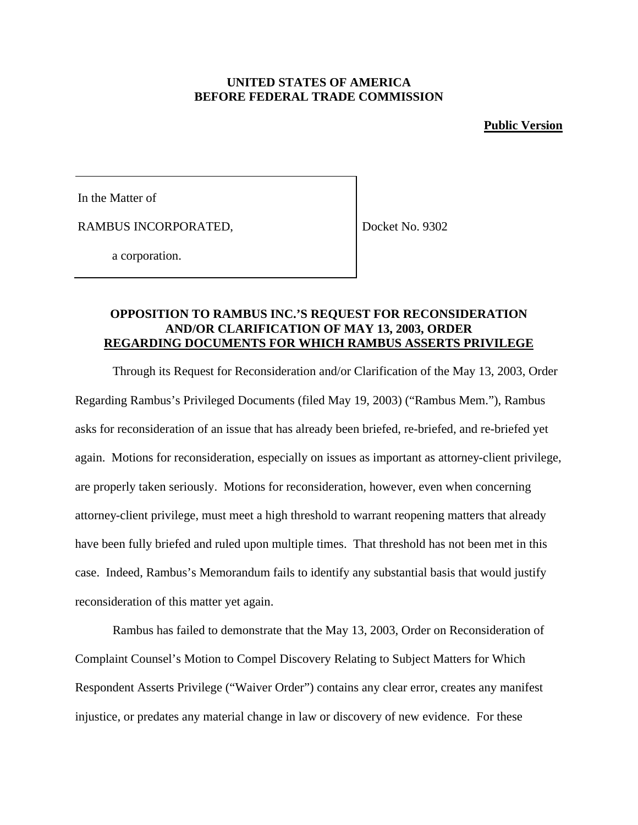### **UNITED STATES OF AMERICA BEFORE FEDERAL TRADE COMMISSION**

#### **Public Version**

In the Matter of

RAMBUS INCORPORATED,

Docket No. 9302

a corporation.

# **OPPOSITION TO RAMBUS INC.'S REQUEST FOR RECONSIDERATION AND/OR CLARIFICATION OF MAY 13, 2003, ORDER REGARDING DOCUMENTS FOR WHICH RAMBUS ASSERTS PRIVILEGE**

Through its Request for Reconsideration and/or Clarification of the May 13, 2003, Order Regarding Rambus's Privileged Documents (filed May 19, 2003) ("Rambus Mem."), Rambus asks for reconsideration of an issue that has already been briefed, re-briefed, and re-briefed yet again. Motions for reconsideration, especially on issues as important as attorney-client privilege, are properly taken seriously. Motions for reconsideration, however, even when concerning attorney-client privilege, must meet a high threshold to warrant reopening matters that already have been fully briefed and ruled upon multiple times. That threshold has not been met in this case. Indeed, Rambus's Memorandum fails to identify any substantial basis that would justify reconsideration of this matter yet again.

Rambus has failed to demonstrate that the May 13, 2003, Order on Reconsideration of Complaint Counsel's Motion to Compel Discovery Relating to Subject Matters for Which Respondent Asserts Privilege ("Waiver Order") contains any clear error, creates any manifest injustice, or predates any material change in law or discovery of new evidence. For these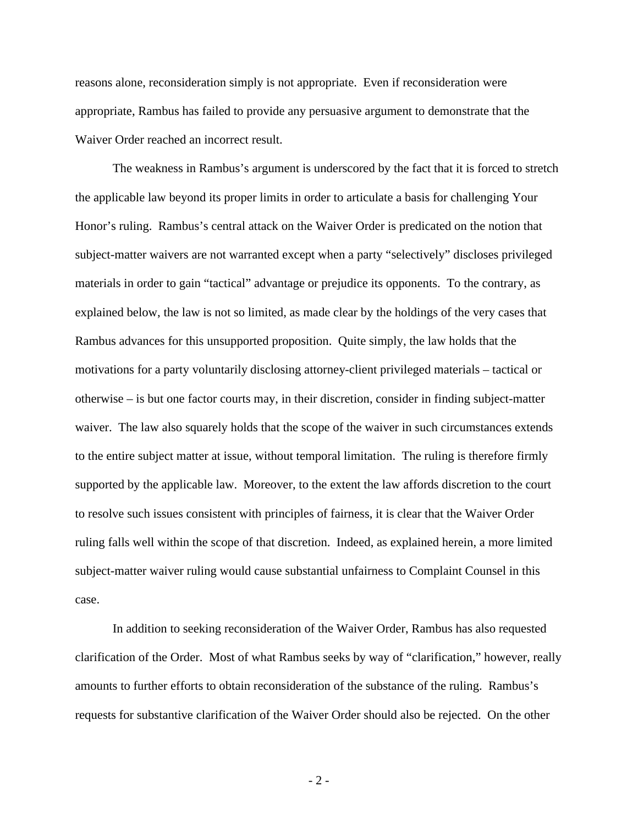reasons alone, reconsideration simply is not appropriate. Even if reconsideration were appropriate, Rambus has failed to provide any persuasive argument to demonstrate that the Waiver Order reached an incorrect result.

The weakness in Rambus's argument is underscored by the fact that it is forced to stretch the applicable law beyond its proper limits in order to articulate a basis for challenging Your Honor's ruling. Rambus's central attack on the Waiver Order is predicated on the notion that subject-matter waivers are not warranted except when a party "selectively" discloses privileged materials in order to gain "tactical" advantage or prejudice its opponents. To the contrary, as explained below, the law is not so limited, as made clear by the holdings of the very cases that Rambus advances for this unsupported proposition. Quite simply, the law holds that the motivations for a party voluntarily disclosing attorney-client privileged materials – tactical or otherwise – is but one factor courts may, in their discretion, consider in finding subject-matter waiver. The law also squarely holds that the scope of the waiver in such circumstances extends to the entire subject matter at issue, without temporal limitation. The ruling is therefore firmly supported by the applicable law. Moreover, to the extent the law affords discretion to the court to resolve such issues consistent with principles of fairness, it is clear that the Waiver Order ruling falls well within the scope of that discretion. Indeed, as explained herein, a more limited subject-matter waiver ruling would cause substantial unfairness to Complaint Counsel in this case.

In addition to seeking reconsideration of the Waiver Order, Rambus has also requested clarification of the Order. Most of what Rambus seeks by way of "clarification," however, really amounts to further efforts to obtain reconsideration of the substance of the ruling. Rambus's requests for substantive clarification of the Waiver Order should also be rejected. On the other

- 2 -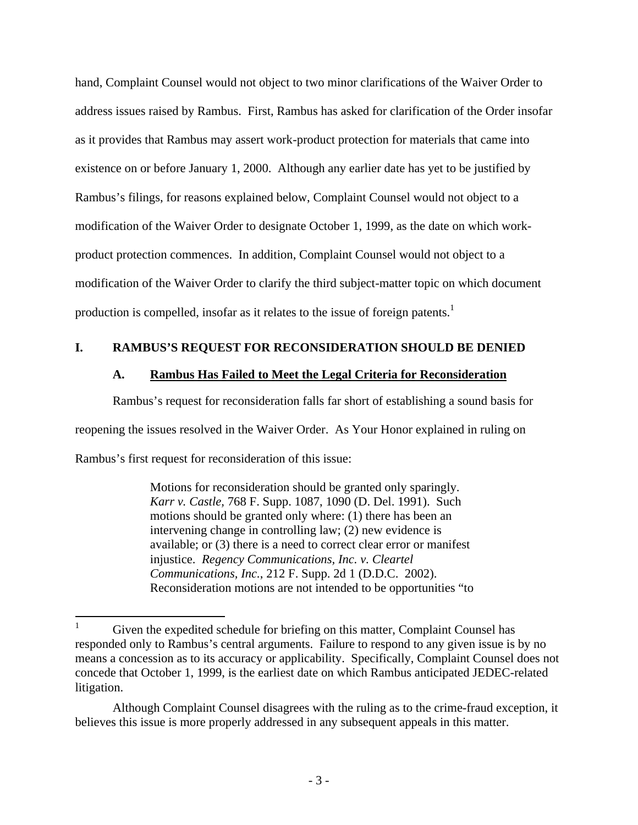hand, Complaint Counsel would not object to two minor clarifications of the Waiver Order to address issues raised by Rambus. First, Rambus has asked for clarification of the Order insofar as it provides that Rambus may assert work-product protection for materials that came into existence on or before January 1, 2000. Although any earlier date has yet to be justified by Rambus's filings, for reasons explained below, Complaint Counsel would not object to a modification of the Waiver Order to designate October 1, 1999, as the date on which workproduct protection commences. In addition, Complaint Counsel would not object to a modification of the Waiver Order to clarify the third subject-matter topic on which document production is compelled, insofar as it relates to the issue of foreign patents.<sup>1</sup>

# **I. RAMBUS'S REQUEST FOR RECONSIDERATION SHOULD BE DENIED**

# **A. Rambus Has Failed to Meet the Legal Criteria for Reconsideration**

Rambus's request for reconsideration falls far short of establishing a sound basis for

reopening the issues resolved in the Waiver Order. As Your Honor explained in ruling on

Rambus's first request for reconsideration of this issue:

Motions for reconsideration should be granted only sparingly. *Karr v. Castle,* 768 F. Supp. 1087, 1090 (D. Del. 1991). Such motions should be granted only where: (1) there has been an intervening change in controlling law; (2) new evidence is available; or (3) there is a need to correct clear error or manifest injustice. *Regency Communications, Inc. v. Cleartel Communications, Inc.*, 212 F. Supp. 2d 1 (D.D.C. 2002). Reconsideration motions are not intended to be opportunities "to

 $\mathbf{1}$ Given the expedited schedule for briefing on this matter, Complaint Counsel has responded only to Rambus's central arguments. Failure to respond to any given issue is by no means a concession as to its accuracy or applicability. Specifically, Complaint Counsel does not concede that October 1, 1999, is the earliest date on which Rambus anticipated JEDEC-related litigation.

Although Complaint Counsel disagrees with the ruling as to the crime-fraud exception, it believes this issue is more properly addressed in any subsequent appeals in this matter.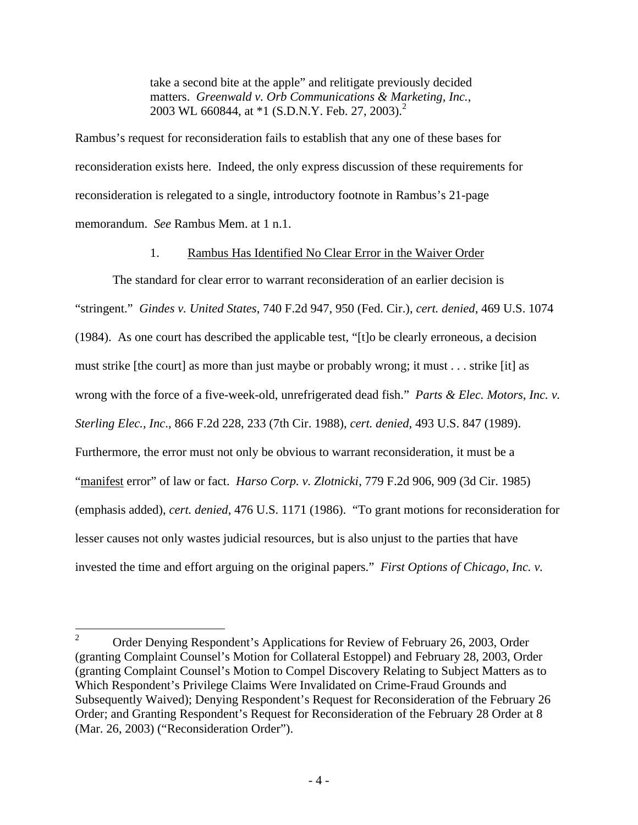take a second bite at the apple" and relitigate previously decided matters. *Greenwald v. Orb Communications & Marketing, Inc.*, 2003 WL 660844, at  $*1$  (S.D.N.Y. Feb. 27, 2003).<sup>2</sup>

Rambus's request for reconsideration fails to establish that any one of these bases for reconsideration exists here. Indeed, the only express discussion of these requirements for reconsideration is relegated to a single, introductory footnote in Rambus's 21-page memorandum. *See* Rambus Mem. at 1 n.1.

# 1. Rambus Has Identified No Clear Error in the Waiver Order

The standard for clear error to warrant reconsideration of an earlier decision is "stringent." *Gindes v. United States*, 740 F.2d 947, 950 (Fed. Cir.), *cert. denied*, 469 U.S. 1074 (1984). As one court has described the applicable test, "[t]o be clearly erroneous, a decision must strike [the court] as more than just maybe or probably wrong; it must . . . strike [it] as wrong with the force of a five-week-old, unrefrigerated dead fish." *Parts & Elec. Motors, Inc. v. Sterling Elec., Inc*., 866 F.2d 228, 233 (7th Cir. 1988), *cert. denied*, 493 U.S. 847 (1989). Furthermore, the error must not only be obvious to warrant reconsideration, it must be a "manifest error" of law or fact. *Harso Corp. v. Zlotnicki*, 779 F.2d 906, 909 (3d Cir. 1985) (emphasis added), *cert. denied*, 476 U.S. 1171 (1986). "To grant motions for reconsideration for lesser causes not only wastes judicial resources, but is also unjust to the parties that have invested the time and effort arguing on the original papers." *First Options of Chicago, Inc. v.* 

 $\overline{2}$ <sup>2</sup> Order Denying Respondent's Applications for Review of February 26, 2003, Order (granting Complaint Counsel's Motion for Collateral Estoppel) and February 28, 2003, Order (granting Complaint Counsel's Motion to Compel Discovery Relating to Subject Matters as to Which Respondent's Privilege Claims Were Invalidated on Crime-Fraud Grounds and Subsequently Waived); Denying Respondent's Request for Reconsideration of the February 26 Order; and Granting Respondent's Request for Reconsideration of the February 28 Order at 8 (Mar. 26, 2003) ("Reconsideration Order").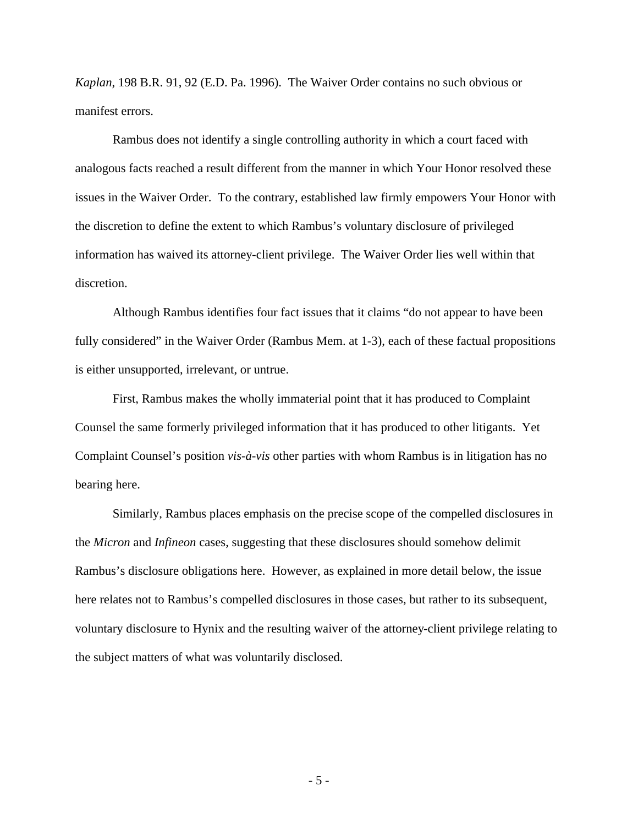*Kaplan*, 198 B.R. 91, 92 (E.D. Pa. 1996). The Waiver Order contains no such obvious or manifest errors.

Rambus does not identify a single controlling authority in which a court faced with analogous facts reached a result different from the manner in which Your Honor resolved these issues in the Waiver Order. To the contrary, established law firmly empowers Your Honor with the discretion to define the extent to which Rambus's voluntary disclosure of privileged information has waived its attorney-client privilege. The Waiver Order lies well within that discretion.

Although Rambus identifies four fact issues that it claims "do not appear to have been fully considered" in the Waiver Order (Rambus Mem. at 1-3), each of these factual propositions is either unsupported, irrelevant, or untrue.

First, Rambus makes the wholly immaterial point that it has produced to Complaint Counsel the same formerly privileged information that it has produced to other litigants. Yet Complaint Counsel's position *vis-à-vis* other parties with whom Rambus is in litigation has no bearing here.

Similarly, Rambus places emphasis on the precise scope of the compelled disclosures in the *Micron* and *Infineon* cases, suggesting that these disclosures should somehow delimit Rambus's disclosure obligations here. However, as explained in more detail below, the issue here relates not to Rambus's compelled disclosures in those cases, but rather to its subsequent, voluntary disclosure to Hynix and the resulting waiver of the attorney-client privilege relating to the subject matters of what was voluntarily disclosed.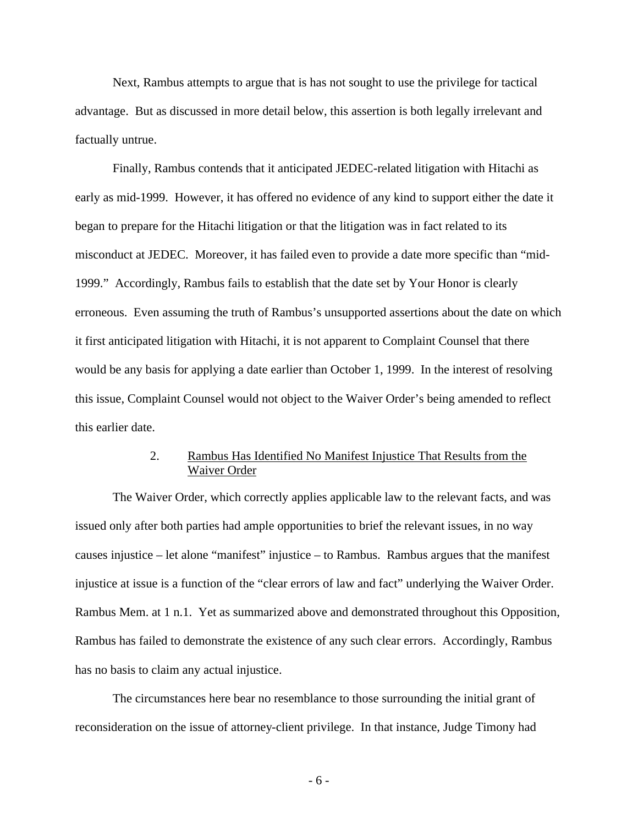Next, Rambus attempts to argue that is has not sought to use the privilege for tactical advantage. But as discussed in more detail below, this assertion is both legally irrelevant and factually untrue.

Finally, Rambus contends that it anticipated JEDEC-related litigation with Hitachi as early as mid-1999. However, it has offered no evidence of any kind to support either the date it began to prepare for the Hitachi litigation or that the litigation was in fact related to its misconduct at JEDEC. Moreover, it has failed even to provide a date more specific than "mid-1999." Accordingly, Rambus fails to establish that the date set by Your Honor is clearly erroneous. Even assuming the truth of Rambus's unsupported assertions about the date on which it first anticipated litigation with Hitachi, it is not apparent to Complaint Counsel that there would be any basis for applying a date earlier than October 1, 1999. In the interest of resolving this issue, Complaint Counsel would not object to the Waiver Order's being amended to reflect this earlier date.

# 2. Rambus Has Identified No Manifest Injustice That Results from the Waiver Order

The Waiver Order, which correctly applies applicable law to the relevant facts, and was issued only after both parties had ample opportunities to brief the relevant issues, in no way causes injustice – let alone "manifest" injustice – to Rambus. Rambus argues that the manifest injustice at issue is a function of the "clear errors of law and fact" underlying the Waiver Order. Rambus Mem. at 1 n.1. Yet as summarized above and demonstrated throughout this Opposition, Rambus has failed to demonstrate the existence of any such clear errors. Accordingly, Rambus has no basis to claim any actual injustice.

The circumstances here bear no resemblance to those surrounding the initial grant of reconsideration on the issue of attorney-client privilege. In that instance, Judge Timony had

- 6 -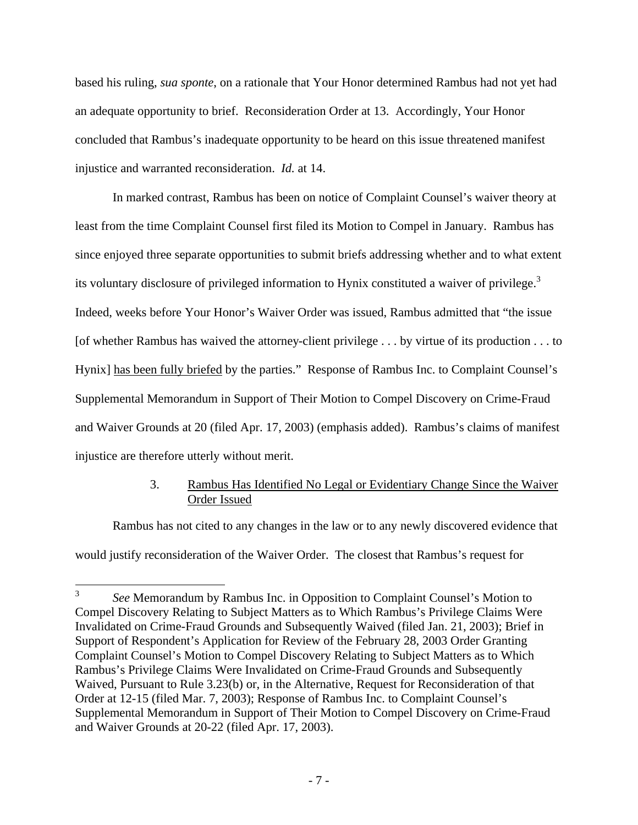based his ruling, *sua sponte*, on a rationale that Your Honor determined Rambus had not yet had an adequate opportunity to brief. Reconsideration Order at 13. Accordingly, Your Honor concluded that Rambus's inadequate opportunity to be heard on this issue threatened manifest injustice and warranted reconsideration. *Id.* at 14.

In marked contrast, Rambus has been on notice of Complaint Counsel's waiver theory at least from the time Complaint Counsel first filed its Motion to Compel in January. Rambus has since enjoyed three separate opportunities to submit briefs addressing whether and to what extent its voluntary disclosure of privileged information to Hynix constituted a waiver of privilege.<sup>3</sup> Indeed, weeks before Your Honor's Waiver Order was issued, Rambus admitted that "the issue [of whether Rambus has waived the attorney-client privilege . . . by virtue of its production . . . to Hynix] has been fully briefed by the parties." Response of Rambus Inc. to Complaint Counsel's Supplemental Memorandum in Support of Their Motion to Compel Discovery on Crime-Fraud and Waiver Grounds at 20 (filed Apr. 17, 2003) (emphasis added). Rambus's claims of manifest injustice are therefore utterly without merit.

# 3. Rambus Has Identified No Legal or Evidentiary Change Since the Waiver Order Issued

Rambus has not cited to any changes in the law or to any newly discovered evidence that would justify reconsideration of the Waiver Order. The closest that Rambus's request for

 $\frac{1}{3}$ *See* Memorandum by Rambus Inc. in Opposition to Complaint Counsel's Motion to Compel Discovery Relating to Subject Matters as to Which Rambus's Privilege Claims Were Invalidated on Crime-Fraud Grounds and Subsequently Waived (filed Jan. 21, 2003); Brief in Support of Respondent's Application for Review of the February 28, 2003 Order Granting Complaint Counsel's Motion to Compel Discovery Relating to Subject Matters as to Which Rambus's Privilege Claims Were Invalidated on Crime-Fraud Grounds and Subsequently Waived, Pursuant to Rule 3.23(b) or, in the Alternative, Request for Reconsideration of that Order at 12-15 (filed Mar. 7, 2003); Response of Rambus Inc. to Complaint Counsel's Supplemental Memorandum in Support of Their Motion to Compel Discovery on Crime-Fraud and Waiver Grounds at 20-22 (filed Apr. 17, 2003).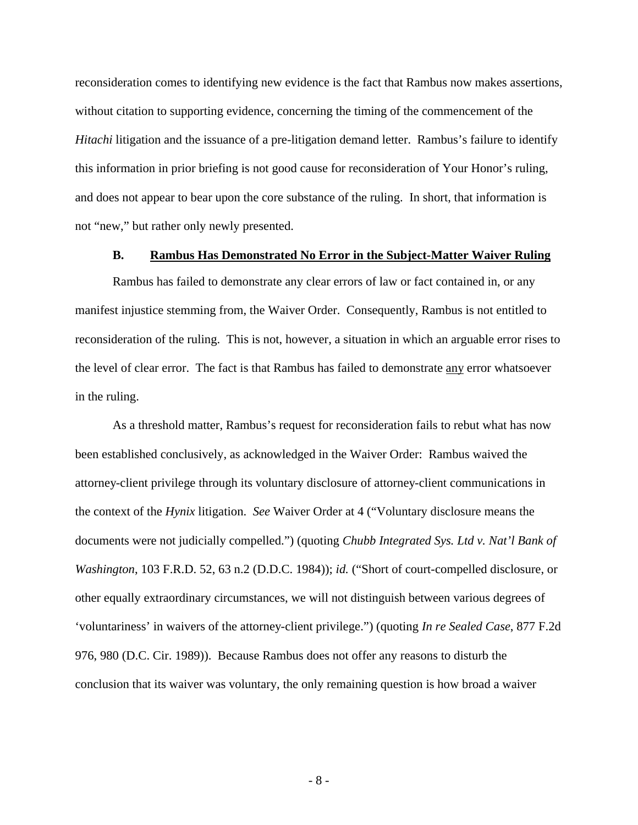reconsideration comes to identifying new evidence is the fact that Rambus now makes assertions, without citation to supporting evidence, concerning the timing of the commencement of the *Hitachi* litigation and the issuance of a pre-litigation demand letter. Rambus's failure to identify this information in prior briefing is not good cause for reconsideration of Your Honor's ruling, and does not appear to bear upon the core substance of the ruling. In short, that information is not "new," but rather only newly presented.

#### **B. Rambus Has Demonstrated No Error in the Subject-Matter Waiver Ruling**

Rambus has failed to demonstrate any clear errors of law or fact contained in, or any manifest injustice stemming from, the Waiver Order. Consequently, Rambus is not entitled to reconsideration of the ruling. This is not, however, a situation in which an arguable error rises to the level of clear error. The fact is that Rambus has failed to demonstrate any error whatsoever in the ruling.

As a threshold matter, Rambus's request for reconsideration fails to rebut what has now been established conclusively, as acknowledged in the Waiver Order: Rambus waived the attorney-client privilege through its voluntary disclosure of attorney-client communications in the context of the *Hynix* litigation. *See* Waiver Order at 4 ("Voluntary disclosure means the documents were not judicially compelled.") (quoting *Chubb Integrated Sys. Ltd v. Nat'l Bank of Washington*, 103 F.R.D. 52, 63 n.2 (D.D.C. 1984)); *id.* ("Short of court-compelled disclosure, or other equally extraordinary circumstances, we will not distinguish between various degrees of 'voluntariness' in waivers of the attorney-client privilege.") (quoting *In re Sealed Case*, 877 F.2d 976, 980 (D.C. Cir. 1989)). Because Rambus does not offer any reasons to disturb the conclusion that its waiver was voluntary, the only remaining question is how broad a waiver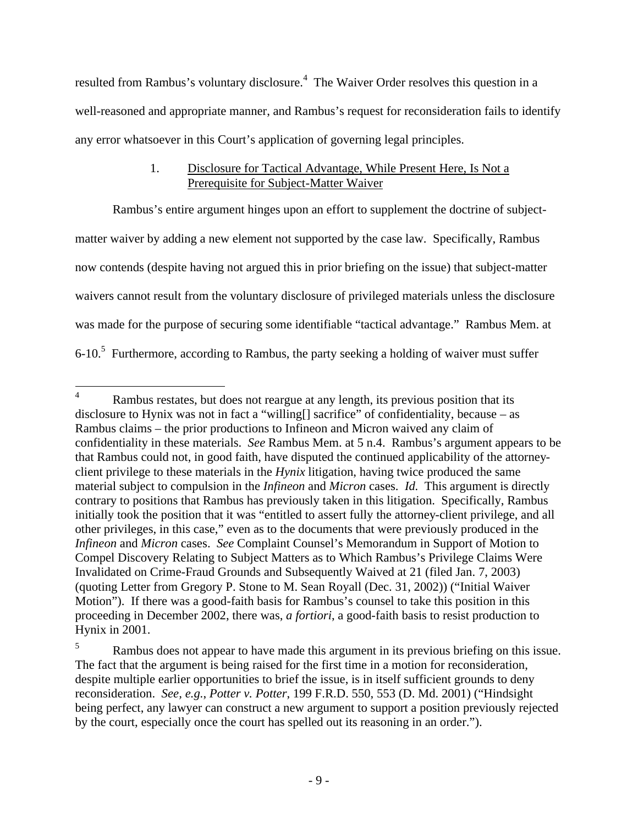resulted from Rambus's voluntary disclosure.<sup>4</sup> The Waiver Order resolves this question in a well-reasoned and appropriate manner, and Rambus's request for reconsideration fails to identify any error whatsoever in this Court's application of governing legal principles.

# 1. Disclosure for Tactical Advantage, While Present Here, Is Not a Prerequisite for Subject-Matter Waiver

Rambus's entire argument hinges upon an effort to supplement the doctrine of subjectmatter waiver by adding a new element not supported by the case law. Specifically, Rambus now contends (despite having not argued this in prior briefing on the issue) that subject-matter waivers cannot result from the voluntary disclosure of privileged materials unless the disclosure was made for the purpose of securing some identifiable "tactical advantage." Rambus Mem. at  $6$ -10.<sup>5</sup> Furthermore, according to Rambus, the party seeking a holding of waiver must suffer

 $\overline{4}$ Rambus restates, but does not reargue at any length, its previous position that its disclosure to Hynix was not in fact a "willing[] sacrifice" of confidentiality, because – as Rambus claims – the prior productions to Infineon and Micron waived any claim of confidentiality in these materials. *See* Rambus Mem. at 5 n.4. Rambus's argument appears to be that Rambus could not, in good faith, have disputed the continued applicability of the attorneyclient privilege to these materials in the *Hynix* litigation, having twice produced the same material subject to compulsion in the *Infineon* and *Micron* cases. *Id.* This argument is directly contrary to positions that Rambus has previously taken in this litigation. Specifically, Rambus initially took the position that it was "entitled to assert fully the attorney-client privilege, and all other privileges, in this case," even as to the documents that were previously produced in the *Infineon* and *Micron* cases. *See* Complaint Counsel's Memorandum in Support of Motion to Compel Discovery Relating to Subject Matters as to Which Rambus's Privilege Claims Were Invalidated on Crime-Fraud Grounds and Subsequently Waived at 21 (filed Jan. 7, 2003) (quoting Letter from Gregory P. Stone to M. Sean Royall (Dec. 31, 2002)) ("Initial Waiver Motion"). If there was a good-faith basis for Rambus's counsel to take this position in this proceeding in December 2002, there was, *a fortiori*, a good-faith basis to resist production to Hynix in 2001.

<sup>&</sup>lt;sup>5</sup> Rambus does not appear to have made this argument in its previous briefing on this issue. The fact that the argument is being raised for the first time in a motion for reconsideration, despite multiple earlier opportunities to brief the issue, is in itself sufficient grounds to deny reconsideration. *See, e.g.*, *Potter v. Potter*, 199 F.R.D. 550, 553 (D. Md. 2001) ("Hindsight being perfect, any lawyer can construct a new argument to support a position previously rejected by the court, especially once the court has spelled out its reasoning in an order.").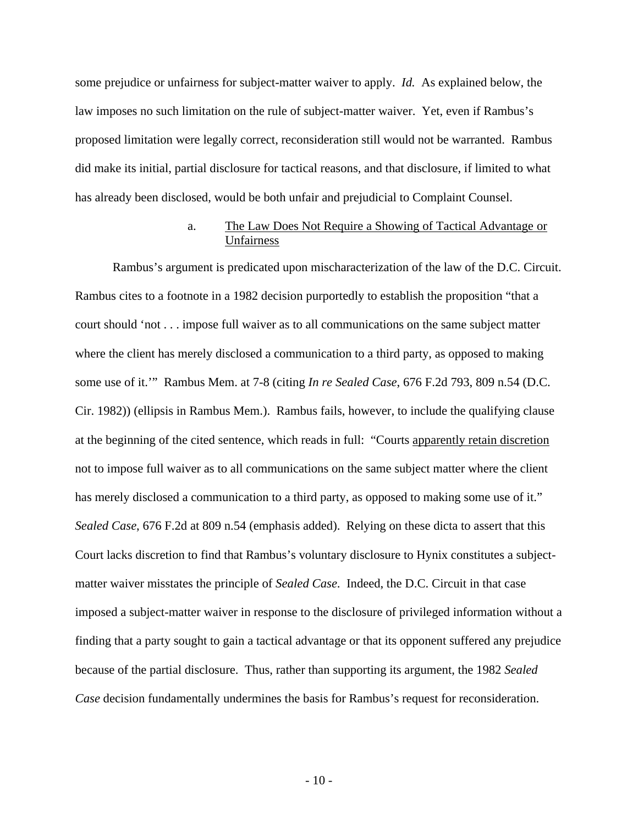some prejudice or unfairness for subject-matter waiver to apply. *Id.* As explained below, the law imposes no such limitation on the rule of subject-matter waiver. Yet, even if Rambus's proposed limitation were legally correct, reconsideration still would not be warranted. Rambus did make its initial, partial disclosure for tactical reasons, and that disclosure, if limited to what has already been disclosed, would be both unfair and prejudicial to Complaint Counsel.

# a. The Law Does Not Require a Showing of Tactical Advantage or Unfairness

Rambus's argument is predicated upon mischaracterization of the law of the D.C. Circuit. Rambus cites to a footnote in a 1982 decision purportedly to establish the proposition "that a court should 'not . . . impose full waiver as to all communications on the same subject matter where the client has merely disclosed a communication to a third party, as opposed to making some use of it.'" Rambus Mem. at 7-8 (citing *In re Sealed Case*, 676 F.2d 793, 809 n.54 (D.C. Cir. 1982)) (ellipsis in Rambus Mem.). Rambus fails, however, to include the qualifying clause at the beginning of the cited sentence, which reads in full: "Courts apparently retain discretion not to impose full waiver as to all communications on the same subject matter where the client has merely disclosed a communication to a third party, as opposed to making some use of it." *Sealed Case*, 676 F.2d at 809 n.54 (emphasis added). Relying on these dicta to assert that this Court lacks discretion to find that Rambus's voluntary disclosure to Hynix constitutes a subjectmatter waiver misstates the principle of *Sealed Case*. Indeed, the D.C. Circuit in that case imposed a subject-matter waiver in response to the disclosure of privileged information without a finding that a party sought to gain a tactical advantage or that its opponent suffered any prejudice because of the partial disclosure. Thus, rather than supporting its argument, the 1982 *Sealed Case* decision fundamentally undermines the basis for Rambus's request for reconsideration.

- 10 -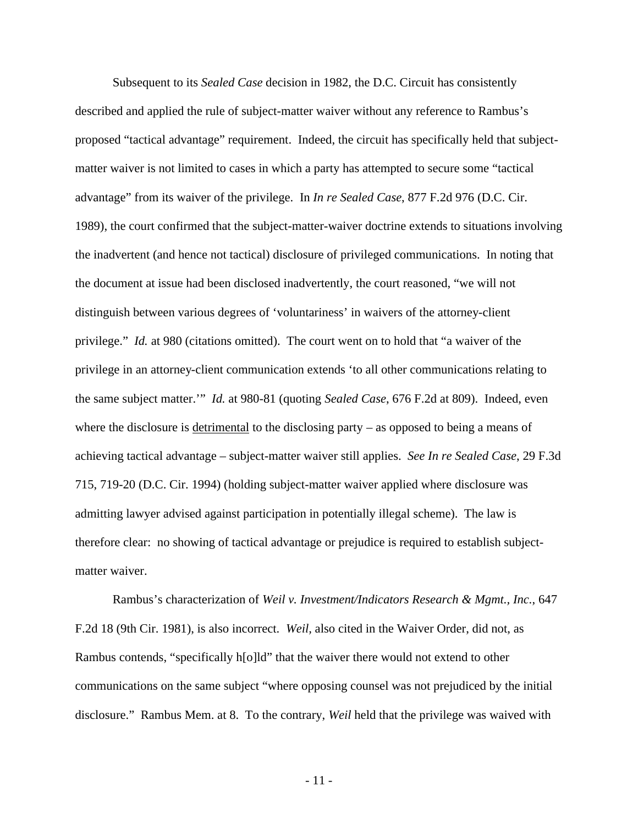Subsequent to its *Sealed Case* decision in 1982, the D.C. Circuit has consistently described and applied the rule of subject-matter waiver without any reference to Rambus's proposed "tactical advantage" requirement. Indeed, the circuit has specifically held that subjectmatter waiver is not limited to cases in which a party has attempted to secure some "tactical advantage" from its waiver of the privilege. In *In re Sealed Case*, 877 F.2d 976 (D.C. Cir. 1989), the court confirmed that the subject-matter-waiver doctrine extends to situations involving the inadvertent (and hence not tactical) disclosure of privileged communications. In noting that the document at issue had been disclosed inadvertently, the court reasoned, "we will not distinguish between various degrees of 'voluntariness' in waivers of the attorney-client privilege." *Id.* at 980 (citations omitted). The court went on to hold that "a waiver of the privilege in an attorney-client communication extends 'to all other communications relating to the same subject matter.'" *Id.* at 980-81 (quoting *Sealed Case*, 676 F.2d at 809). Indeed, even where the disclosure is detrimental to the disclosing party – as opposed to being a means of achieving tactical advantage – subject-matter waiver still applies. *See In re Sealed Case*, 29 F.3d 715, 719-20 (D.C. Cir. 1994) (holding subject-matter waiver applied where disclosure was admitting lawyer advised against participation in potentially illegal scheme). The law is therefore clear: no showing of tactical advantage or prejudice is required to establish subjectmatter waiver.

Rambus's characterization of *Weil v. Investment/Indicators Research & Mgmt., Inc.*, 647 F.2d 18 (9th Cir. 1981), is also incorrect. *Weil,* also cited in the Waiver Order, did not, as Rambus contends, "specifically h[o]ld" that the waiver there would not extend to other communications on the same subject "where opposing counsel was not prejudiced by the initial disclosure." Rambus Mem. at 8. To the contrary, *Weil* held that the privilege was waived with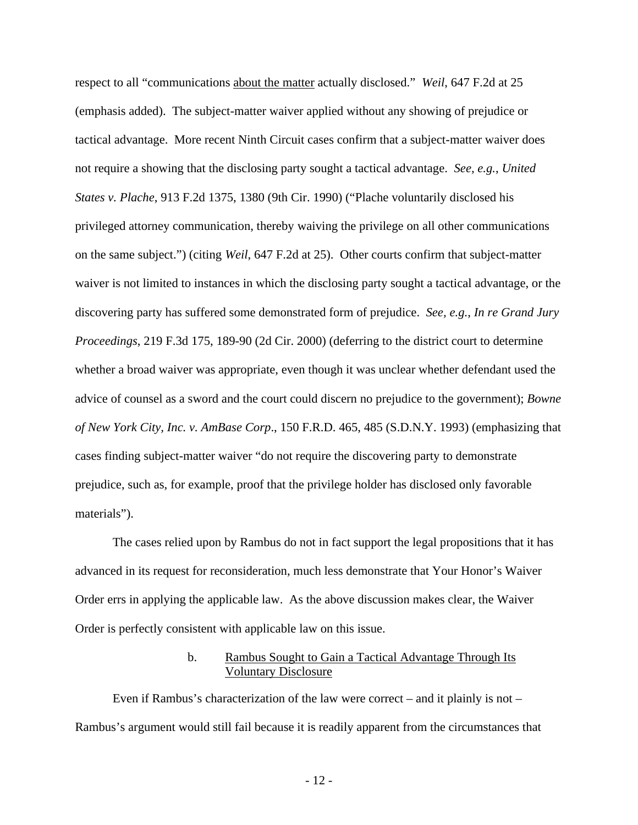respect to all "communications about the matter actually disclosed." *Weil*, 647 F.2d at 25 (emphasis added). The subject-matter waiver applied without any showing of prejudice or tactical advantage. More recent Ninth Circuit cases confirm that a subject-matter waiver does not require a showing that the disclosing party sought a tactical advantage. *See, e.g.*, *United States v. Plache*, 913 F.2d 1375, 1380 (9th Cir. 1990) ("Plache voluntarily disclosed his privileged attorney communication, thereby waiving the privilege on all other communications on the same subject.") (citing *Weil*, 647 F.2d at 25). Other courts confirm that subject-matter waiver is not limited to instances in which the disclosing party sought a tactical advantage, or the discovering party has suffered some demonstrated form of prejudice. *See, e.g.*, *In re Grand Jury Proceedings*, 219 F.3d 175, 189-90 (2d Cir. 2000) (deferring to the district court to determine whether a broad waiver was appropriate, even though it was unclear whether defendant used the advice of counsel as a sword and the court could discern no prejudice to the government); *Bowne of New York City, Inc. v. AmBase Corp*., 150 F.R.D. 465, 485 (S.D.N.Y. 1993) (emphasizing that cases finding subject-matter waiver "do not require the discovering party to demonstrate prejudice, such as, for example, proof that the privilege holder has disclosed only favorable materials").

The cases relied upon by Rambus do not in fact support the legal propositions that it has advanced in its request for reconsideration, much less demonstrate that Your Honor's Waiver Order errs in applying the applicable law. As the above discussion makes clear, the Waiver Order is perfectly consistent with applicable law on this issue.

### b. Rambus Sought to Gain a Tactical Advantage Through Its Voluntary Disclosure

Even if Rambus's characterization of the law were correct – and it plainly is not – Rambus's argument would still fail because it is readily apparent from the circumstances that

- 12 -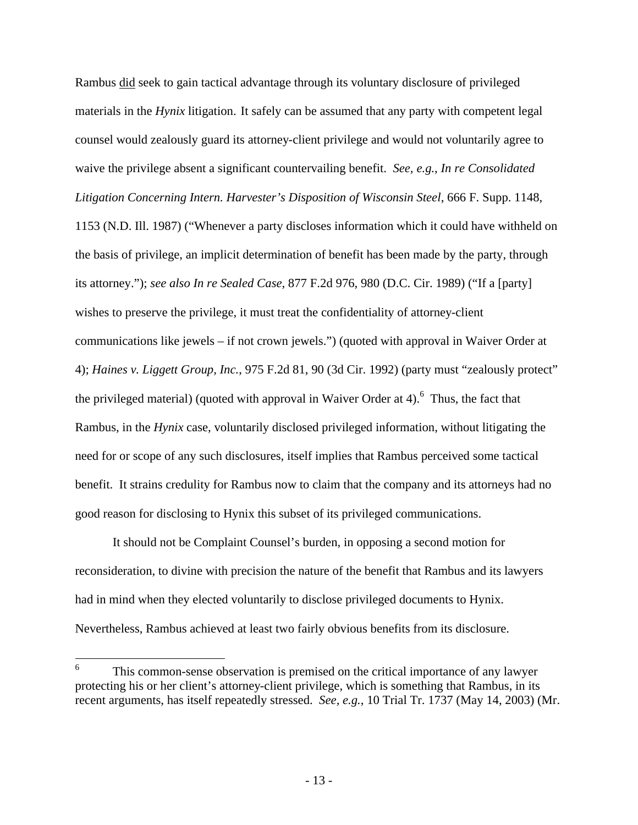Rambus did seek to gain tactical advantage through its voluntary disclosure of privileged materials in the *Hynix* litigation. It safely can be assumed that any party with competent legal counsel would zealously guard its attorney-client privilege and would not voluntarily agree to waive the privilege absent a significant countervailing benefit. *See, e.g.*, *In re Consolidated Litigation Concerning Intern. Harvester's Disposition of Wisconsin Steel*, 666 F. Supp. 1148, 1153 (N.D. Ill. 1987) ("Whenever a party discloses information which it could have withheld on the basis of privilege, an implicit determination of benefit has been made by the party, through its attorney."); *see also In re Sealed Case*, 877 F.2d 976, 980 (D.C. Cir. 1989) ("If a [party] wishes to preserve the privilege, it must treat the confidentiality of attorney-client communications like jewels – if not crown jewels.") (quoted with approval in Waiver Order at 4); *Haines v. Liggett Group, Inc.*, 975 F.2d 81, 90 (3d Cir. 1992) (party must "zealously protect" the privileged material) (quoted with approval in Waiver Order at 4). <sup>6</sup> Thus, the fact that Rambus, in the *Hynix* case, voluntarily disclosed privileged information, without litigating the need for or scope of any such disclosures, itself implies that Rambus perceived some tactical benefit. It strains credulity for Rambus now to claim that the company and its attorneys had no good reason for disclosing to Hynix this subset of its privileged communications.

It should not be Complaint Counsel's burden, in opposing a second motion for reconsideration, to divine with precision the nature of the benefit that Rambus and its lawyers had in mind when they elected voluntarily to disclose privileged documents to Hynix. Nevertheless, Rambus achieved at least two fairly obvious benefits from its disclosure.

 6 This common-sense observation is premised on the critical importance of any lawyer protecting his or her client's attorney-client privilege, which is something that Rambus, in its recent arguments, has itself repeatedly stressed. *See, e.g.*, 10 Trial Tr. 1737 (May 14, 2003) (Mr.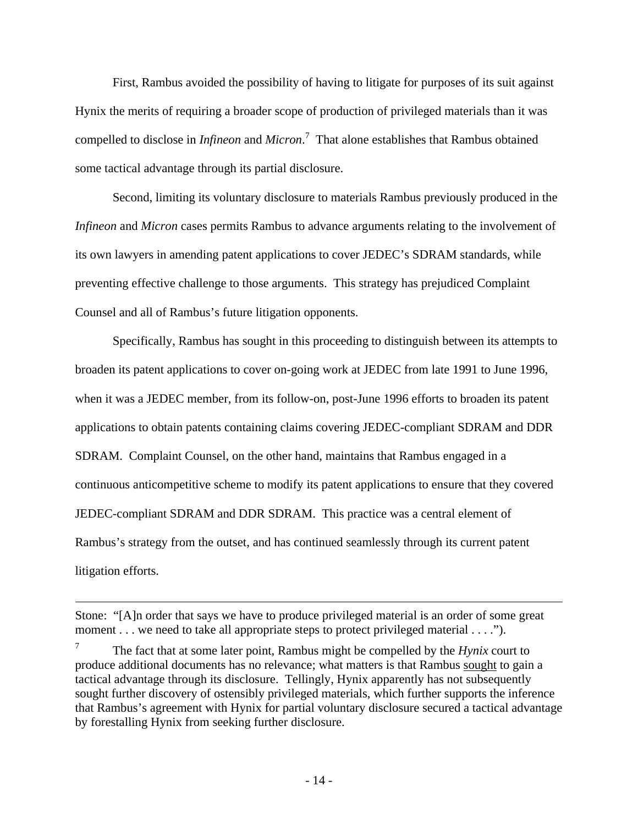First, Rambus avoided the possibility of having to litigate for purposes of its suit against Hynix the merits of requiring a broader scope of production of privileged materials than it was compelled to disclose in *Infineon* and *Micron*. 7 That alone establishes that Rambus obtained some tactical advantage through its partial disclosure.

Second, limiting its voluntary disclosure to materials Rambus previously produced in the *Infineon* and *Micron* cases permits Rambus to advance arguments relating to the involvement of its own lawyers in amending patent applications to cover JEDEC's SDRAM standards, while preventing effective challenge to those arguments. This strategy has prejudiced Complaint Counsel and all of Rambus's future litigation opponents.

Specifically, Rambus has sought in this proceeding to distinguish between its attempts to broaden its patent applications to cover on-going work at JEDEC from late 1991 to June 1996, when it was a JEDEC member, from its follow-on, post-June 1996 efforts to broaden its patent applications to obtain patents containing claims covering JEDEC-compliant SDRAM and DDR SDRAM. Complaint Counsel, on the other hand, maintains that Rambus engaged in a continuous anticompetitive scheme to modify its patent applications to ensure that they covered JEDEC-compliant SDRAM and DDR SDRAM. This practice was a central element of Rambus's strategy from the outset, and has continued seamlessly through its current patent litigation efforts.

 $\overline{a}$ 

Stone: "[A]n order that says we have to produce privileged material is an order of some great moment . . . we need to take all appropriate steps to protect privileged material . . . .").

<sup>7</sup> The fact that at some later point, Rambus might be compelled by the *Hynix* court to produce additional documents has no relevance; what matters is that Rambus sought to gain a tactical advantage through its disclosure. Tellingly, Hynix apparently has not subsequently sought further discovery of ostensibly privileged materials, which further supports the inference that Rambus's agreement with Hynix for partial voluntary disclosure secured a tactical advantage by forestalling Hynix from seeking further disclosure.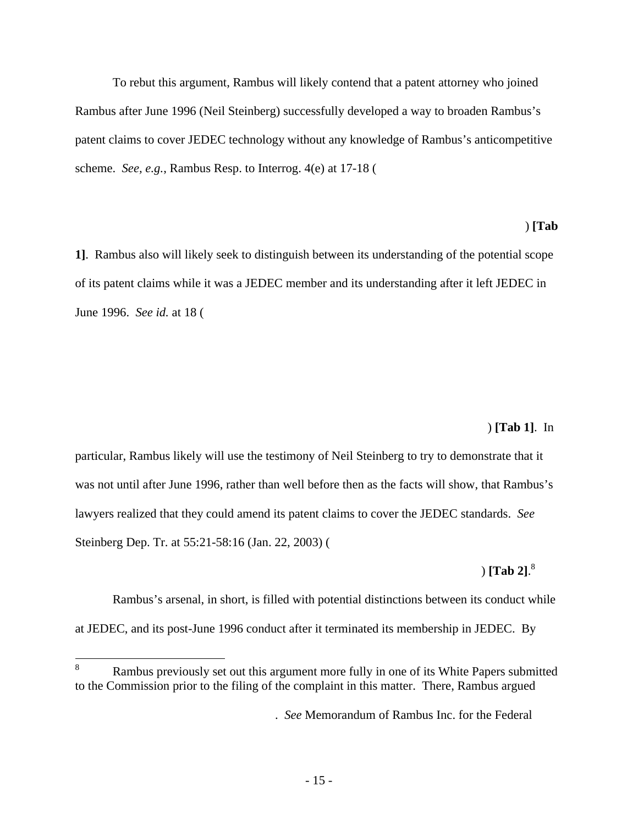To rebut this argument, Rambus will likely contend that a patent attorney who joined Rambus after June 1996 (Neil Steinberg) successfully developed a way to broaden Rambus's patent claims to cover JEDEC technology without any knowledge of Rambus's anticompetitive scheme. *See, e.g.*, Rambus Resp. to Interrog. 4(e) at 17-18 (\*\*\*

#### $^{*}$  (Tab

**1]**. Rambus also will likely seek to distinguish between its understanding of the potential scope of its patent claims while it was a JEDEC member and its understanding after it left JEDEC in June 1996. *See id.* at 18 (\*\*

#### $^{\circ}$  (Tab 1]. In

particular, Rambus likely will use the testimony of Neil Steinberg to try to demonstrate that it was not until after June 1996, rather than well before then as the facts will show, that Rambus's lawyers realized that they could amend its patent claims to cover the JEDEC standards. *See* Steinberg Dep. Tr. at 55:21-58:16 (Jan. 22, 2003) (\*\*\*

#### $^{*}$  (Tab 2].  $\int$  [Tab 21. $^8$ ]

Rambus's arsenal, in short, is filled with potential distinctions between its conduct while at JEDEC, and its post-June 1996 conduct after it terminated its membership in JEDEC. By

<sup>8</sup> Rambus previously set out this argument more fully in one of its White Papers submitted to the Commission prior to the filing of the complaint in this matter. There, Rambus argued

<sup>\*\*\*\*\*\*\*\*\*\*\*\*\*\*\*\*\*\*\*\*\*\*\*\*\*\*\*\*\*\*\*\*.</sup> *See* Memorandum of Rambus Inc. for the Federal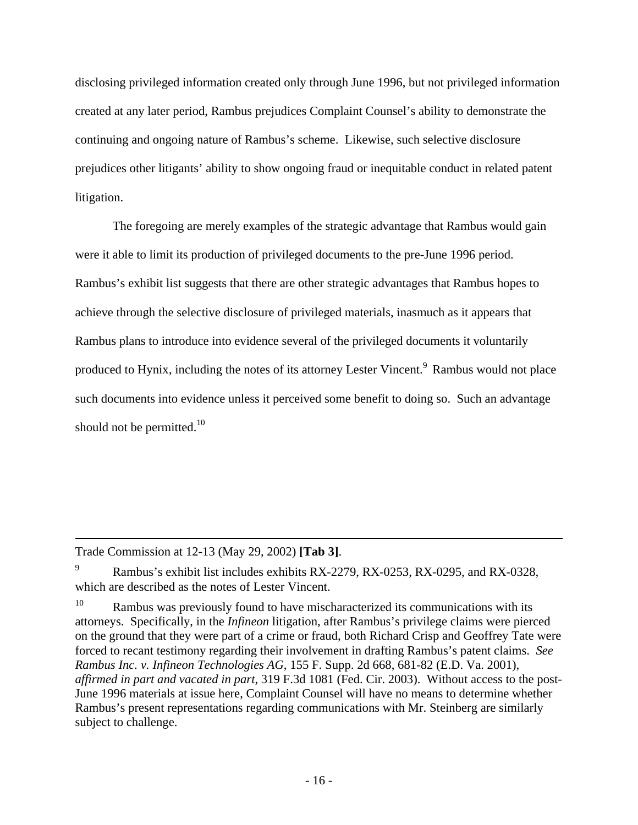disclosing privileged information created only through June 1996, but not privileged information created at any later period, Rambus prejudices Complaint Counsel's ability to demonstrate the continuing and ongoing nature of Rambus's scheme. Likewise, such selective disclosure prejudices other litigants' ability to show ongoing fraud or inequitable conduct in related patent litigation.

The foregoing are merely examples of the strategic advantage that Rambus would gain were it able to limit its production of privileged documents to the pre-June 1996 period. Rambus's exhibit list suggests that there are other strategic advantages that Rambus hopes to achieve through the selective disclosure of privileged materials, inasmuch as it appears that Rambus plans to introduce into evidence several of the privileged documents it voluntarily produced to Hynix, including the notes of its attorney Lester Vincent.<sup>9</sup> Rambus would not place such documents into evidence unless it perceived some benefit to doing so. Such an advantage should not be permitted. $10$ 

 $\overline{a}$ 

Trade Commission at 12-13 (May 29, 2002) **[Tab 3]**.

Rambus's exhibit list includes exhibits RX-2279, RX-0253, RX-0295, and RX-0328, which are described as the notes of Lester Vincent.

<sup>&</sup>lt;sup>10</sup> Rambus was previously found to have mischaracterized its communications with its attorneys. Specifically, in the *Infineon* litigation, after Rambus's privilege claims were pierced on the ground that they were part of a crime or fraud, both Richard Crisp and Geoffrey Tate were forced to recant testimony regarding their involvement in drafting Rambus's patent claims. *See Rambus Inc. v. Infineon Technologies AG*, 155 F. Supp. 2d 668, 681-82 (E.D. Va. 2001), *affirmed in part and vacated in part*, 319 F.3d 1081 (Fed. Cir. 2003). Without access to the post-June 1996 materials at issue here, Complaint Counsel will have no means to determine whether Rambus's present representations regarding communications with Mr. Steinberg are similarly subject to challenge.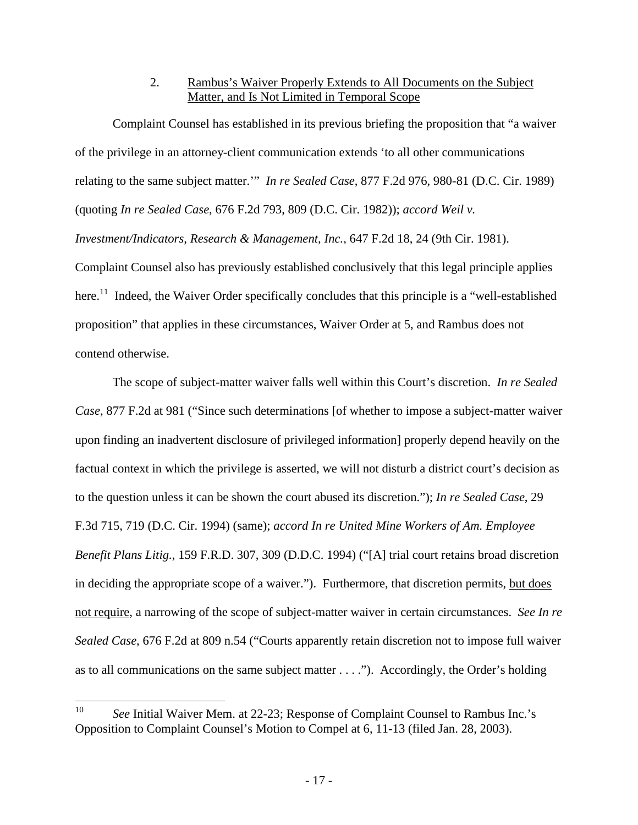# 2. Rambus's Waiver Properly Extends to All Documents on the Subject Matter, and Is Not Limited in Temporal Scope

Complaint Counsel has established in its previous briefing the proposition that "a waiver of the privilege in an attorney-client communication extends 'to all other communications relating to the same subject matter.'" *In re Sealed Case*, 877 F.2d 976, 980-81 (D.C. Cir. 1989) (quoting *In re Sealed Case*, 676 F.2d 793, 809 (D.C. Cir. 1982)); *accord Weil v. Investment/Indicators, Research & Management, Inc.*, 647 F.2d 18, 24 (9th Cir. 1981). Complaint Counsel also has previously established conclusively that this legal principle applies here.<sup>11</sup> Indeed, the Waiver Order specifically concludes that this principle is a "well-established proposition" that applies in these circumstances, Waiver Order at 5, and Rambus does not contend otherwise.

The scope of subject-matter waiver falls well within this Court's discretion. *In re Sealed Case*, 877 F.2d at 981 ("Since such determinations [of whether to impose a subject-matter waiver upon finding an inadvertent disclosure of privileged information] properly depend heavily on the factual context in which the privilege is asserted, we will not disturb a district court's decision as to the question unless it can be shown the court abused its discretion."); *In re Sealed Case*, 29 F.3d 715, 719 (D.C. Cir. 1994) (same); *accord In re United Mine Workers of Am. Employee Benefit Plans Litig.*, 159 F.R.D. 307, 309 (D.D.C. 1994) ("[A] trial court retains broad discretion in deciding the appropriate scope of a waiver."). Furthermore, that discretion permits, but does not require, a narrowing of the scope of subject-matter waiver in certain circumstances. *See In re Sealed Case*, 676 F.2d at 809 n.54 ("Courts apparently retain discretion not to impose full waiver as to all communications on the same subject matter . . . ."). Accordingly, the Order's holding

 $10<sup>10</sup>$ <sup>10</sup> *See* Initial Waiver Mem. at 22-23; Response of Complaint Counsel to Rambus Inc.'s Opposition to Complaint Counsel's Motion to Compel at 6, 11-13 (filed Jan. 28, 2003).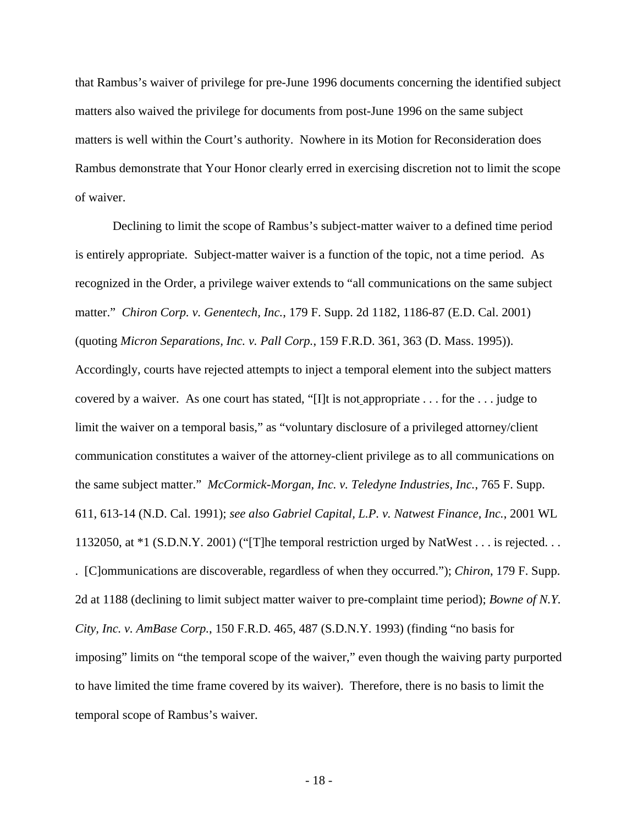that Rambus's waiver of privilege for pre-June 1996 documents concerning the identified subject matters also waived the privilege for documents from post-June 1996 on the same subject matters is well within the Court's authority. Nowhere in its Motion for Reconsideration does Rambus demonstrate that Your Honor clearly erred in exercising discretion not to limit the scope of waiver.

Declining to limit the scope of Rambus's subject-matter waiver to a defined time period is entirely appropriate. Subject-matter waiver is a function of the topic, not a time period. As recognized in the Order, a privilege waiver extends to "all communications on the same subject matter." *Chiron Corp. v. Genentech, Inc.*, 179 F. Supp. 2d 1182, 1186-87 (E.D. Cal. 2001) (quoting *Micron Separations, Inc. v. Pall Corp.*, 159 F.R.D. 361, 363 (D. Mass. 1995)). Accordingly, courts have rejected attempts to inject a temporal element into the subject matters covered by a waiver. As one court has stated, "[I]t is not appropriate . . . for the . . . judge to limit the waiver on a temporal basis," as "voluntary disclosure of a privileged attorney/client communication constitutes a waiver of the attorney-client privilege as to all communications on the same subject matter." *McCormick-Morgan, Inc. v. Teledyne Industries, Inc.*, 765 F. Supp. 611, 613-14 (N.D. Cal. 1991); *see also Gabriel Capital, L.P. v. Natwest Finance, Inc.*, 2001 WL 1132050, at \*1 (S.D.N.Y. 2001) ("[T]he temporal restriction urged by NatWest . . . is rejected. . . . [C]ommunications are discoverable, regardless of when they occurred."); *Chiron*, 179 F. Supp. 2d at 1188 (declining to limit subject matter waiver to pre-complaint time period); *Bowne of N.Y. City, Inc. v. AmBase Corp.*, 150 F.R.D. 465, 487 (S.D.N.Y. 1993) (finding "no basis for imposing" limits on "the temporal scope of the waiver," even though the waiving party purported to have limited the time frame covered by its waiver). Therefore, there is no basis to limit the temporal scope of Rambus's waiver.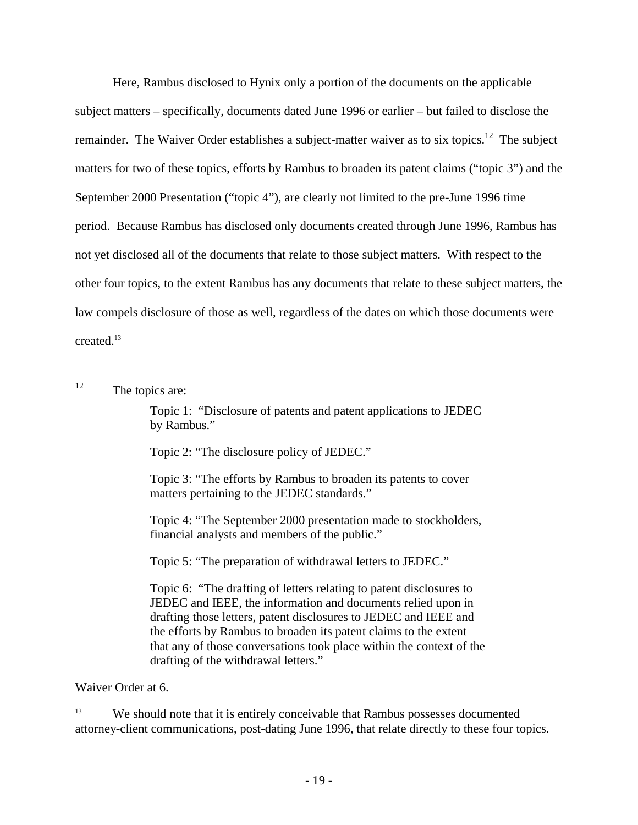Here, Rambus disclosed to Hynix only a portion of the documents on the applicable subject matters – specifically, documents dated June 1996 or earlier – but failed to disclose the remainder. The Waiver Order establishes a subject-matter waiver as to six topics.<sup>12</sup> The subject matters for two of these topics, efforts by Rambus to broaden its patent claims ("topic 3") and the September 2000 Presentation ("topic 4"), are clearly not limited to the pre-June 1996 time period. Because Rambus has disclosed only documents created through June 1996, Rambus has not yet disclosed all of the documents that relate to those subject matters. With respect to the other four topics, to the extent Rambus has any documents that relate to these subject matters, the law compels disclosure of those as well, regardless of the dates on which those documents were created.<sup>13</sup>

12 The topics are:

> Topic 1: "Disclosure of patents and patent applications to JEDEC by Rambus."

Topic 2: "The disclosure policy of JEDEC."

Topic 3: "The efforts by Rambus to broaden its patents to cover matters pertaining to the JEDEC standards."

Topic 4: "The September 2000 presentation made to stockholders, financial analysts and members of the public."

Topic 5: "The preparation of withdrawal letters to JEDEC."

Topic 6: "The drafting of letters relating to patent disclosures to JEDEC and IEEE, the information and documents relied upon in drafting those letters, patent disclosures to JEDEC and IEEE and the efforts by Rambus to broaden its patent claims to the extent that any of those conversations took place within the context of the drafting of the withdrawal letters."

Waiver Order at 6.

13 We should note that it is entirely conceivable that Rambus possesses documented attorney-client communications, post-dating June 1996, that relate directly to these four topics.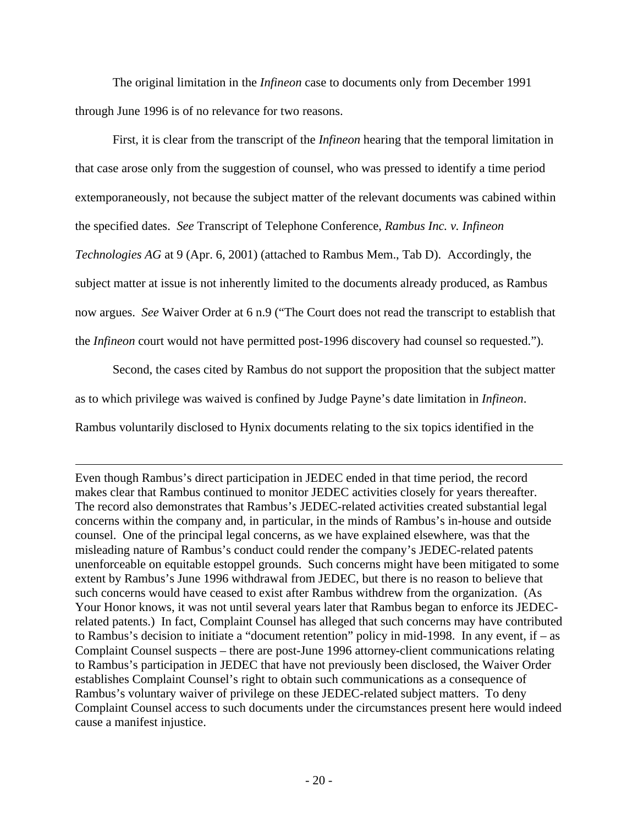The original limitation in the *Infineon* case to documents only from December 1991 through June 1996 is of no relevance for two reasons.

First, it is clear from the transcript of the *Infineon* hearing that the temporal limitation in that case arose only from the suggestion of counsel, who was pressed to identify a time period extemporaneously, not because the subject matter of the relevant documents was cabined within the specified dates. *See* Transcript of Telephone Conference, *Rambus Inc. v. Infineon Technologies AG* at 9 (Apr. 6, 2001) (attached to Rambus Mem., Tab D). Accordingly, the subject matter at issue is not inherently limited to the documents already produced, as Rambus now argues. *See* Waiver Order at 6 n.9 ("The Court does not read the transcript to establish that the *Infineon* court would not have permitted post-1996 discovery had counsel so requested.").

Second, the cases cited by Rambus do not support the proposition that the subject matter as to which privilege was waived is confined by Judge Payne's date limitation in *Infineon*. Rambus voluntarily disclosed to Hynix documents relating to the six topics identified in the

 $\overline{a}$ 

Even though Rambus's direct participation in JEDEC ended in that time period, the record makes clear that Rambus continued to monitor JEDEC activities closely for years thereafter. The record also demonstrates that Rambus's JEDEC-related activities created substantial legal concerns within the company and, in particular, in the minds of Rambus's in-house and outside counsel. One of the principal legal concerns, as we have explained elsewhere, was that the misleading nature of Rambus's conduct could render the company's JEDEC-related patents unenforceable on equitable estoppel grounds. Such concerns might have been mitigated to some extent by Rambus's June 1996 withdrawal from JEDEC, but there is no reason to believe that such concerns would have ceased to exist after Rambus withdrew from the organization. (As Your Honor knows, it was not until several years later that Rambus began to enforce its JEDECrelated patents.) In fact, Complaint Counsel has alleged that such concerns may have contributed to Rambus's decision to initiate a "document retention" policy in mid-1998. In any event, if – as Complaint Counsel suspects – there are post-June 1996 attorney-client communications relating to Rambus's participation in JEDEC that have not previously been disclosed, the Waiver Order establishes Complaint Counsel's right to obtain such communications as a consequence of Rambus's voluntary waiver of privilege on these JEDEC-related subject matters. To deny Complaint Counsel access to such documents under the circumstances present here would indeed cause a manifest injustice.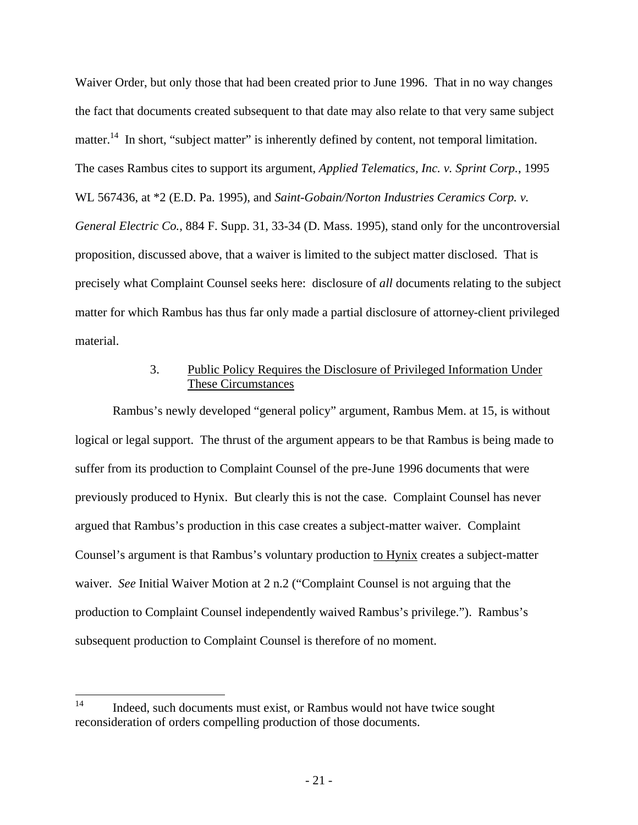Waiver Order, but only those that had been created prior to June 1996. That in no way changes the fact that documents created subsequent to that date may also relate to that very same subject matter.<sup>14</sup> In short, "subject matter" is inherently defined by content, not temporal limitation. The cases Rambus cites to support its argument, *Applied Telematics, Inc. v. Sprint Corp.*, 1995 WL 567436, at \*2 (E.D. Pa. 1995), and *Saint-Gobain/Norton Industries Ceramics Corp. v. General Electric Co.*, 884 F. Supp. 31, 33-34 (D. Mass. 1995), stand only for the uncontroversial proposition, discussed above, that a waiver is limited to the subject matter disclosed. That is precisely what Complaint Counsel seeks here: disclosure of *all* documents relating to the subject matter for which Rambus has thus far only made a partial disclosure of attorney-client privileged material.

# 3. Public Policy Requires the Disclosure of Privileged Information Under These Circumstances

Rambus's newly developed "general policy" argument, Rambus Mem. at 15, is without logical or legal support. The thrust of the argument appears to be that Rambus is being made to suffer from its production to Complaint Counsel of the pre-June 1996 documents that were previously produced to Hynix. But clearly this is not the case. Complaint Counsel has never argued that Rambus's production in this case creates a subject-matter waiver. Complaint Counsel's argument is that Rambus's voluntary production to Hynix creates a subject-matter waiver. *See* Initial Waiver Motion at 2 n.2 ("Complaint Counsel is not arguing that the production to Complaint Counsel independently waived Rambus's privilege."). Rambus's subsequent production to Complaint Counsel is therefore of no moment.

 $14$ Indeed, such documents must exist, or Rambus would not have twice sought reconsideration of orders compelling production of those documents.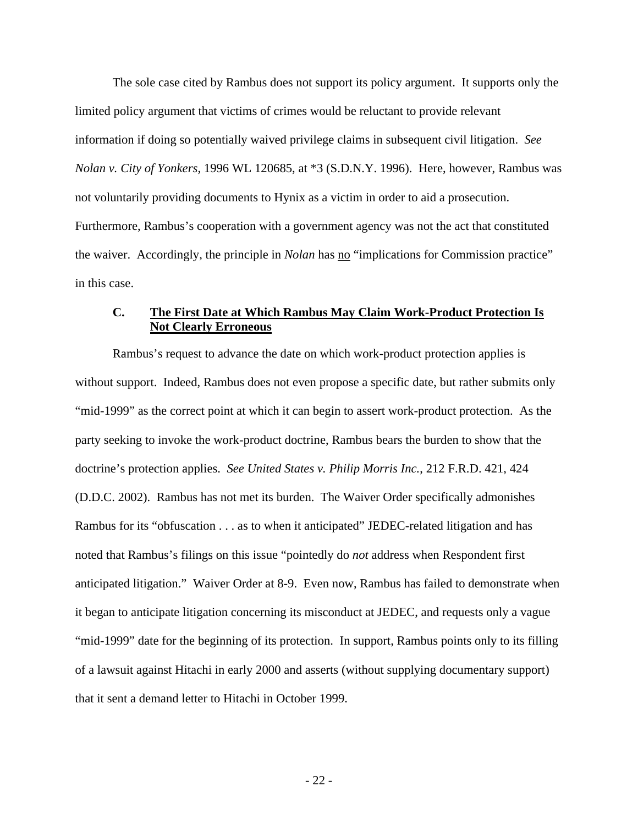The sole case cited by Rambus does not support its policy argument. It supports only the limited policy argument that victims of crimes would be reluctant to provide relevant information if doing so potentially waived privilege claims in subsequent civil litigation. *See Nolan v. City of Yonkers*, 1996 WL 120685, at \*3 (S.D.N.Y. 1996). Here, however, Rambus was not voluntarily providing documents to Hynix as a victim in order to aid a prosecution. Furthermore, Rambus's cooperation with a government agency was not the act that constituted the waiver. Accordingly, the principle in *Nolan* has no "implications for Commission practice" in this case.

# **C. The First Date at Which Rambus May Claim Work-Product Protection Is Not Clearly Erroneous**

Rambus's request to advance the date on which work-product protection applies is without support. Indeed, Rambus does not even propose a specific date, but rather submits only "mid-1999" as the correct point at which it can begin to assert work-product protection. As the party seeking to invoke the work-product doctrine, Rambus bears the burden to show that the doctrine's protection applies. *See United States v. Philip Morris Inc.*, 212 F.R.D. 421, 424 (D.D.C. 2002). Rambus has not met its burden. The Waiver Order specifically admonishes Rambus for its "obfuscation . . . as to when it anticipated" JEDEC-related litigation and has noted that Rambus's filings on this issue "pointedly do *not* address when Respondent first anticipated litigation." Waiver Order at 8-9. Even now, Rambus has failed to demonstrate when it began to anticipate litigation concerning its misconduct at JEDEC, and requests only a vague "mid-1999" date for the beginning of its protection. In support, Rambus points only to its filling of a lawsuit against Hitachi in early 2000 and asserts (without supplying documentary support) that it sent a demand letter to Hitachi in October 1999.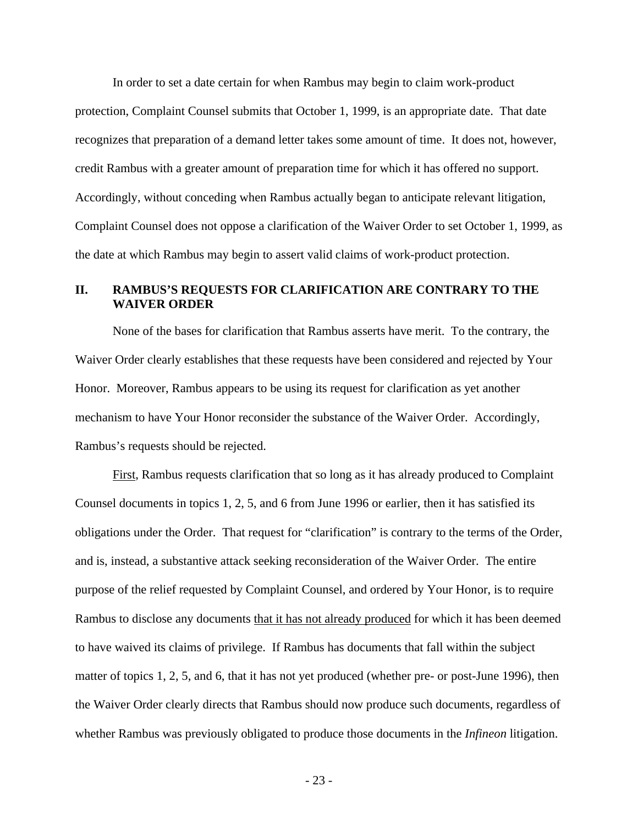In order to set a date certain for when Rambus may begin to claim work-product protection, Complaint Counsel submits that October 1, 1999, is an appropriate date. That date recognizes that preparation of a demand letter takes some amount of time. It does not, however, credit Rambus with a greater amount of preparation time for which it has offered no support. Accordingly, without conceding when Rambus actually began to anticipate relevant litigation, Complaint Counsel does not oppose a clarification of the Waiver Order to set October 1, 1999, as the date at which Rambus may begin to assert valid claims of work-product protection.

# **II. RAMBUS'S REQUESTS FOR CLARIFICATION ARE CONTRARY TO THE WAIVER ORDER**

None of the bases for clarification that Rambus asserts have merit. To the contrary, the Waiver Order clearly establishes that these requests have been considered and rejected by Your Honor. Moreover, Rambus appears to be using its request for clarification as yet another mechanism to have Your Honor reconsider the substance of the Waiver Order. Accordingly, Rambus's requests should be rejected.

First, Rambus requests clarification that so long as it has already produced to Complaint Counsel documents in topics 1, 2, 5, and 6 from June 1996 or earlier, then it has satisfied its obligations under the Order. That request for "clarification" is contrary to the terms of the Order, and is, instead, a substantive attack seeking reconsideration of the Waiver Order. The entire purpose of the relief requested by Complaint Counsel, and ordered by Your Honor, is to require Rambus to disclose any documents that it has not already produced for which it has been deemed to have waived its claims of privilege. If Rambus has documents that fall within the subject matter of topics 1, 2, 5, and 6, that it has not yet produced (whether pre- or post-June 1996), then the Waiver Order clearly directs that Rambus should now produce such documents, regardless of whether Rambus was previously obligated to produce those documents in the *Infineon* litigation.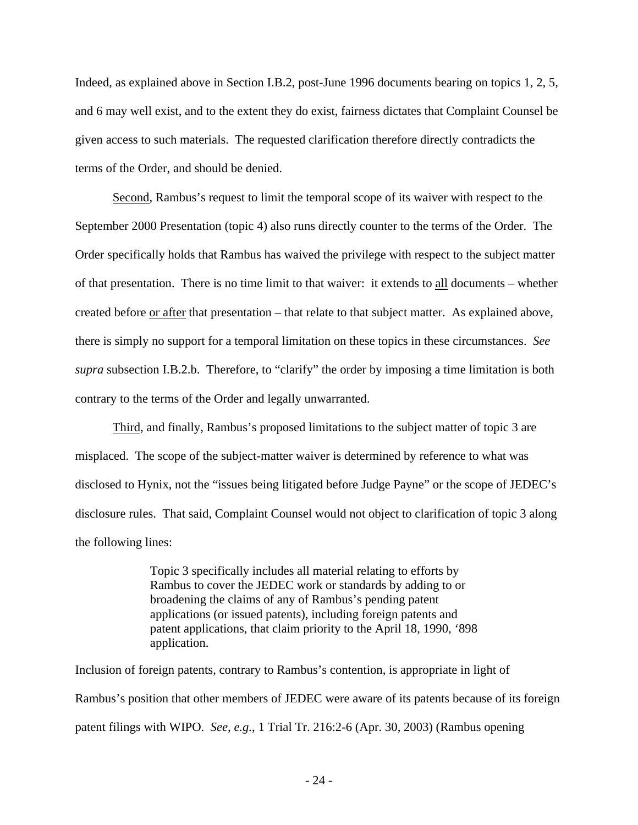Indeed, as explained above in Section I.B.2, post-June 1996 documents bearing on topics 1, 2, 5, and 6 may well exist, and to the extent they do exist, fairness dictates that Complaint Counsel be given access to such materials. The requested clarification therefore directly contradicts the terms of the Order, and should be denied.

Second, Rambus's request to limit the temporal scope of its waiver with respect to the September 2000 Presentation (topic 4) also runs directly counter to the terms of the Order. The Order specifically holds that Rambus has waived the privilege with respect to the subject matter of that presentation. There is no time limit to that waiver: it extends to all documents – whether created before <u>or after</u> that presentation – that relate to that subject matter. As explained above, there is simply no support for a temporal limitation on these topics in these circumstances. *See supra* subsection I.B.2.b. Therefore, to "clarify" the order by imposing a time limitation is both contrary to the terms of the Order and legally unwarranted.

Third, and finally, Rambus's proposed limitations to the subject matter of topic 3 are misplaced. The scope of the subject-matter waiver is determined by reference to what was disclosed to Hynix, not the "issues being litigated before Judge Payne" or the scope of JEDEC's disclosure rules. That said, Complaint Counsel would not object to clarification of topic 3 along the following lines:

> Topic 3 specifically includes all material relating to efforts by Rambus to cover the JEDEC work or standards by adding to or broadening the claims of any of Rambus's pending patent applications (or issued patents), including foreign patents and patent applications, that claim priority to the April 18, 1990, '898 application.

Inclusion of foreign patents, contrary to Rambus's contention, is appropriate in light of Rambus's position that other members of JEDEC were aware of its patents because of its foreign patent filings with WIPO. *See, e.g.*, 1 Trial Tr. 216:2-6 (Apr. 30, 2003) (Rambus opening

- 24 -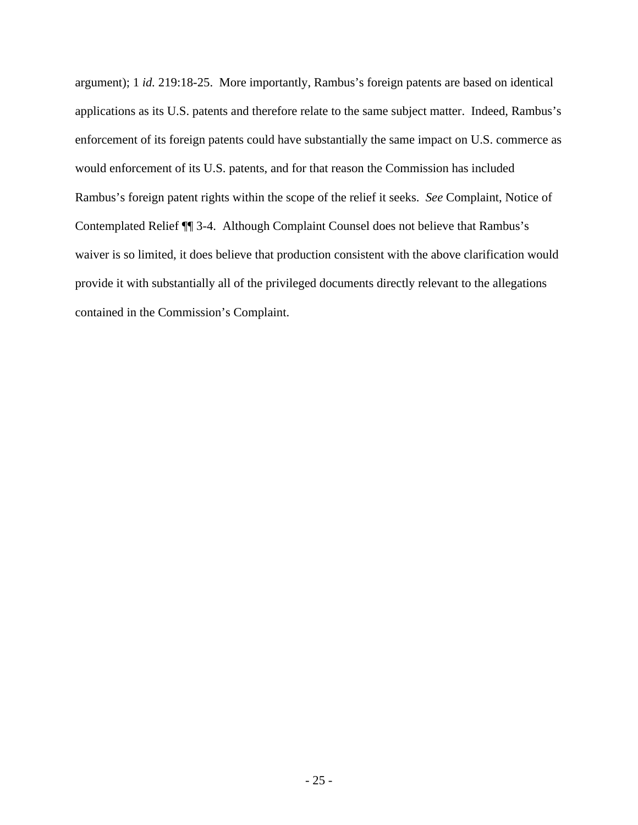argument); 1 *id.* 219:18-25. More importantly, Rambus's foreign patents are based on identical applications as its U.S. patents and therefore relate to the same subject matter. Indeed, Rambus's enforcement of its foreign patents could have substantially the same impact on U.S. commerce as would enforcement of its U.S. patents, and for that reason the Commission has included Rambus's foreign patent rights within the scope of the relief it seeks. *See* Complaint, Notice of Contemplated Relief ¶¶ 3-4. Although Complaint Counsel does not believe that Rambus's waiver is so limited, it does believe that production consistent with the above clarification would provide it with substantially all of the privileged documents directly relevant to the allegations contained in the Commission's Complaint.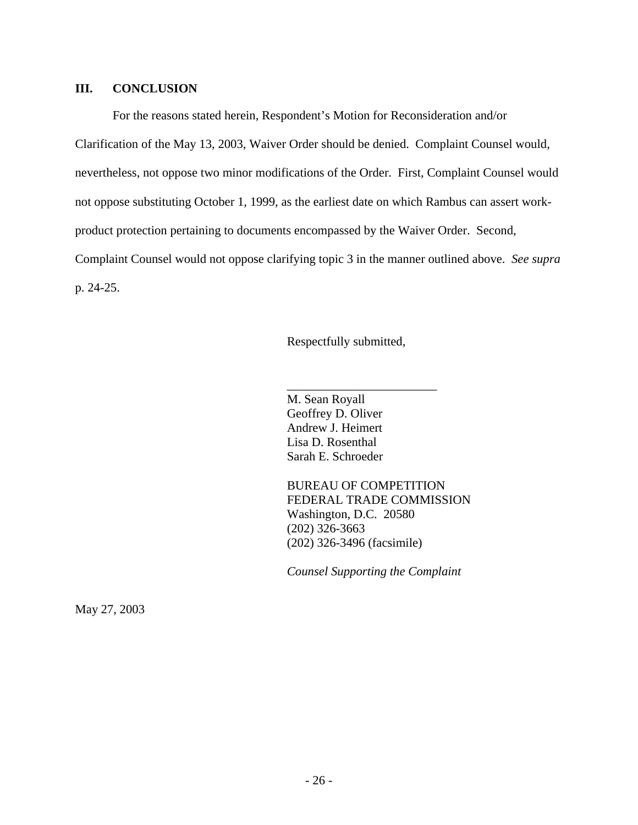#### **III. CONCLUSION**

For the reasons stated herein, Respondent's Motion for Reconsideration and/or Clarification of the May 13, 2003, Waiver Order should be denied. Complaint Counsel would, nevertheless, not oppose two minor modifications of the Order. First, Complaint Counsel would not oppose substituting October 1, 1999, as the earliest date on which Rambus can assert workproduct protection pertaining to documents encompassed by the Waiver Order. Second, Complaint Counsel would not oppose clarifying topic 3 in the manner outlined above. *See supra* p. 24-25.

Respectfully submitted,

\_\_\_\_\_\_\_\_\_\_\_\_\_\_\_\_\_\_\_\_\_\_\_\_

M. Sean Royall Geoffrey D. Oliver Andrew J. Heimert Lisa D. Rosenthal Sarah E. Schroeder

BUREAU OF COMPETITION FEDERAL TRADE COMMISSION Washington, D.C. 20580 (202) 326-3663 (202) 326-3496 (facsimile)

*Counsel Supporting the Complaint*

May 27, 2003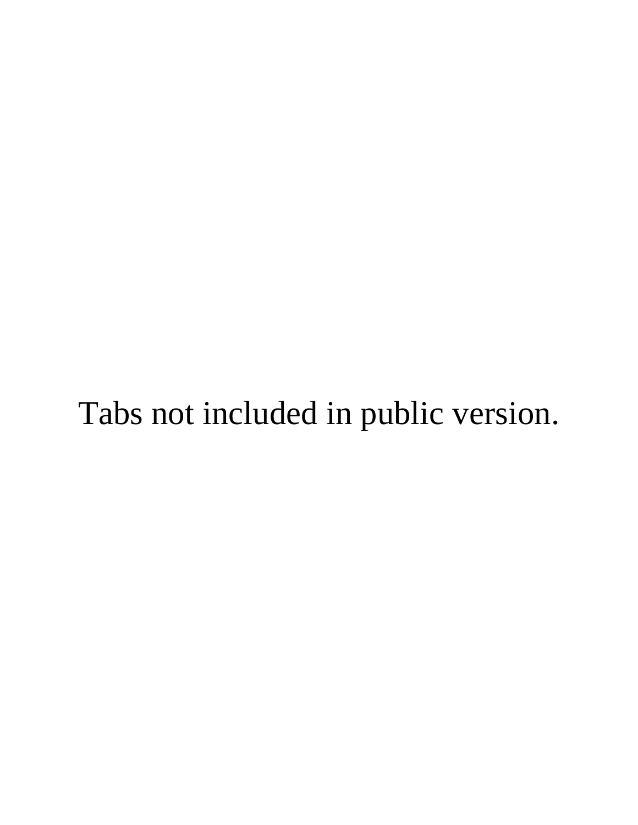# Tabs not included in public version.